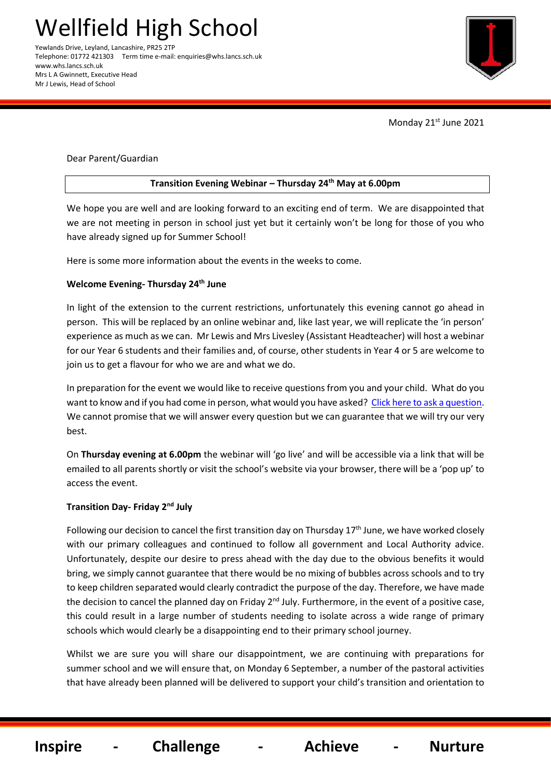Telephone: 01772 421303 Term time e-mail: enquiries@whs.lancs.sch.uk www.whs.lancs.sch.uk Mrs L A Gwinnett, Executive Head Mr J Lewis, Head of School



Monday 21st June 2021

### Dear Parent/Guardian

## **Transition Evening Webinar – Thursday 24 th May at 6.00pm**

We hope you are well and are looking forward to an exciting end of term. We are disappointed that we are not meeting in person in school just yet but it certainly won't be long for those of you who have already signed up for Summer School!

Here is some more information about the events in the weeks to come.

## **Welcome Evening- Thursday 24th June**

In light of the extension to the current restrictions, unfortunately this evening cannot go ahead in person. This will be replaced by an online webinar and, like last year, we will replicate the 'in person' experience as much as we can. Mr Lewis and Mrs Livesley (Assistant Headteacher) will host a webinar for our Year 6 students and their families and, of course, other students in Year 4 or 5 are welcome to join us to get a flavour for who we are and what we do.

In preparation for the event we would like to receive questions from you and your child. What do you want to know and if you had come in person, what would you have asked? [Click here to ask a question.](https://docs.google.com/forms/d/e/1FAIpQLSccZcDgDI1y0BgUDFE8XpHbsd6dYFhoufqCbavUromOzzz-YA/viewform?usp=sf_link) We cannot promise that we will answer every question but we can guarantee that we will try our very best.

On **Thursday evening at 6.00pm** the webinar will 'go live' and will be accessible via a link that will be emailed to all parents shortly or visit the school's website via your browser, there will be a 'pop up' to access the event.

# **Transition Day- Friday 2nd July**

Following our decision to cancel the first transition day on Thursday  $17<sup>th</sup>$  June, we have worked closely with our primary colleagues and continued to follow all government and Local Authority advice. Unfortunately, despite our desire to press ahead with the day due to the obvious benefits it would bring, we simply cannot guarantee that there would be no mixing of bubbles across schools and to try to keep children separated would clearly contradict the purpose of the day. Therefore, we have made the decision to cancel the planned day on Friday  $2^{nd}$  July. Furthermore, in the event of a positive case, this could result in a large number of students needing to isolate across a wide range of primary schools which would clearly be a disappointing end to their primary school journey.

Whilst we are sure you will share our disappointment, we are continuing with preparations for summer school and we will ensure that, on Monday 6 September, a number of the pastoral activities that have already been planned will be delivered to support your child's transition and orientation to